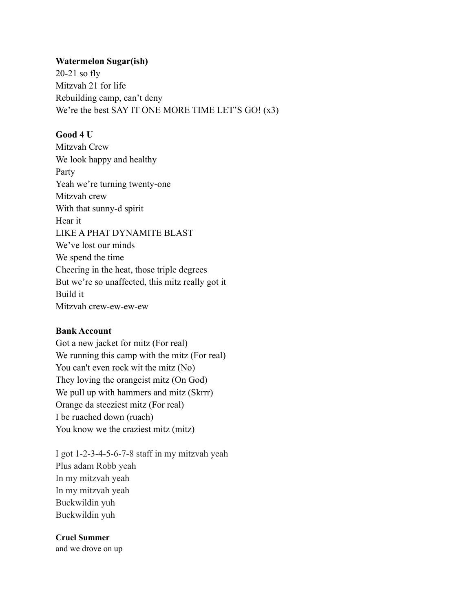# **Watermelon Sugar(ish)**

20-21 so fly Mitzvah 21 for life Rebuilding camp, can't deny We're the best SAY IT ONE MORE TIME LET'S GO! (x3)

# **Good 4 U**

Mitzvah Crew We look happy and healthy Party Yeah we're turning twenty-one Mitzvah crew With that sunny-d spirit Hear it LIKE A PHAT DYNAMITE BLAST We've lost our minds We spend the time Cheering in the heat, those triple degrees But we're so unaffected, this mitz really got it Build it Mitzvah crew-ew-ew-ew

## **Bank Account**

Got a new jacket for mitz (For real) We running this camp with the mitz (For real) You can't even rock wit the mitz (No) They loving the orangeist mitz (On God) We pull up with hammers and mitz (Skrrr) Orange da steeziest mitz (For real) I be ruached down (ruach) You know we the craziest mitz (mitz)

I got 1-2-3-4-5-6-7-8 staff in my mitzvah yeah Plus adam Robb yeah In my mitzvah yeah In my mitzvah yeah Buckwildin yuh Buckwildin yuh

## **Cruel Summer**

and we drove on up